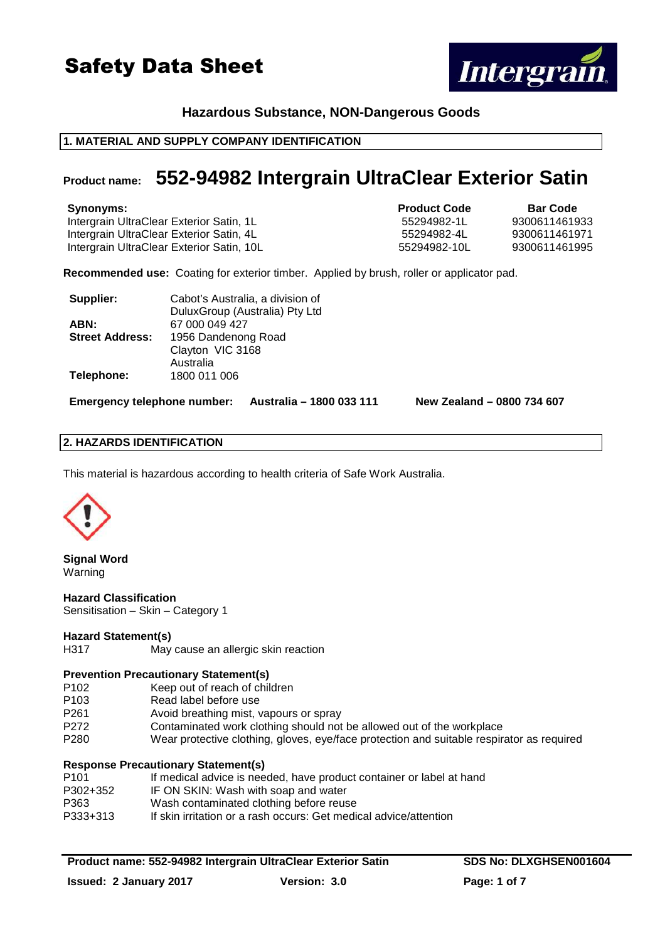

# **Hazardous Substance, NON-Dangerous Goods**

# **1. MATERIAL AND SUPPLY COMPANY IDENTIFICATION**

# **Product name: 552-94982 Intergrain UltraClear Exterior Satin**

**Synonyms: Product Code Bar Code** Intergrain UltraClear Exterior Satin, 1L 55294982-1L Intergrain UltraClear Exterior Satin, 4L 55294982-4L 9300611461971 Intergrain UltraClear Exterior Satin, 10L 55294982-10L 9300611461995

**Recommended use:** Coating for exterior timber. Applied by brush, roller or applicator pad.

| Supplier:              | Cabot's Australia, a division of |  |  |
|------------------------|----------------------------------|--|--|
|                        | DuluxGroup (Australia) Pty Ltd   |  |  |
| ABN:                   | 67 000 049 427                   |  |  |
| <b>Street Address:</b> | 1956 Dandenong Road              |  |  |
|                        | Clayton VIC 3168                 |  |  |
|                        | Australia                        |  |  |
| Telephone:             | 1800 011 006                     |  |  |
|                        |                                  |  |  |

**Emergency telephone number: Australia – 1800 033 111 New Zealand – 0800 734 607**

# **2. HAZARDS IDENTIFICATION**

This material is hazardous according to health criteria of Safe Work Australia.



**Signal Word**  Warning

**Hazard Classification**  Sensitisation – Skin – Category 1

# **Hazard Statement(s)**

H317 May cause an allergic skin reaction

# **Prevention Precautionary Statement(s)**

- P102 Keep out of reach of children
- P103 Read label before use
- P261 Avoid breathing mist, vapours or spray
- P272 Contaminated work clothing should not be allowed out of the workplace
- P280 Wear protective clothing, gloves, eye/face protection and suitable respirator as required

# **Response Precautionary Statement(s)**

| P <sub>101</sub> | If medical advice is needed, have product container or label at hand |
|------------------|----------------------------------------------------------------------|
| P302+352         | IF ON SKIN: Wash with soap and water                                 |
| P363             | Wash contaminated clothing before reuse                              |
| P333+313         | If skin irritation or a rash occurs: Get medical advice/attention    |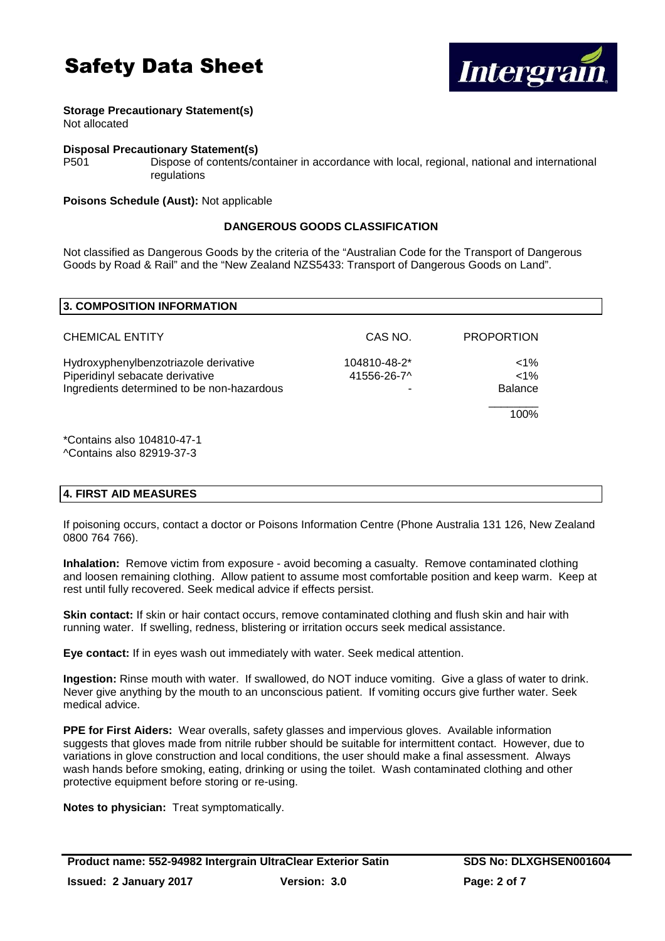

# **Storage Precautionary Statement(s)**

Not allocated

#### **Disposal Precautionary Statement(s)**

P501 Dispose of contents/container in accordance with local, regional, national and international regulations

#### **Poisons Schedule (Aust):** Not applicable

# **DANGEROUS GOODS CLASSIFICATION**

Not classified as Dangerous Goods by the criteria of the "Australian Code for the Transport of Dangerous Goods by Road & Rail" and the "New Zealand NZS5433: Transport of Dangerous Goods on Land".

| <b>3. COMPOSITION INFORMATION</b>          |              |                   |  |
|--------------------------------------------|--------------|-------------------|--|
|                                            |              |                   |  |
| <b>CHEMICAL ENTITY</b>                     | CAS NO.      | <b>PROPORTION</b> |  |
| Hydroxyphenylbenzotriazole derivative      | 104810-48-2* | $< 1\%$           |  |
| Piperidinyl sebacate derivative            | 41556-26-7^  | $< 1\%$           |  |
| Ingredients determined to be non-hazardous |              | <b>Balance</b>    |  |
|                                            |              | 100%              |  |
| *Contains also 104810-47-1                 |              |                   |  |
| ^Contains also 82919-37-3                  |              |                   |  |

# **4. FIRST AID MEASURES**

If poisoning occurs, contact a doctor or Poisons Information Centre (Phone Australia 131 126, New Zealand 0800 764 766).

**Inhalation:** Remove victim from exposure - avoid becoming a casualty. Remove contaminated clothing and loosen remaining clothing. Allow patient to assume most comfortable position and keep warm. Keep at rest until fully recovered. Seek medical advice if effects persist.

**Skin contact:** If skin or hair contact occurs, remove contaminated clothing and flush skin and hair with running water. If swelling, redness, blistering or irritation occurs seek medical assistance.

**Eye contact:** If in eyes wash out immediately with water. Seek medical attention.

**Ingestion:** Rinse mouth with water. If swallowed, do NOT induce vomiting. Give a glass of water to drink. Never give anything by the mouth to an unconscious patient. If vomiting occurs give further water. Seek medical advice.

**PPE for First Aiders:** Wear overalls, safety glasses and impervious gloves. Available information suggests that gloves made from nitrile rubber should be suitable for intermittent contact. However, due to variations in glove construction and local conditions, the user should make a final assessment. Always wash hands before smoking, eating, drinking or using the toilet. Wash contaminated clothing and other protective equipment before storing or re-using.

**Notes to physician:** Treat symptomatically.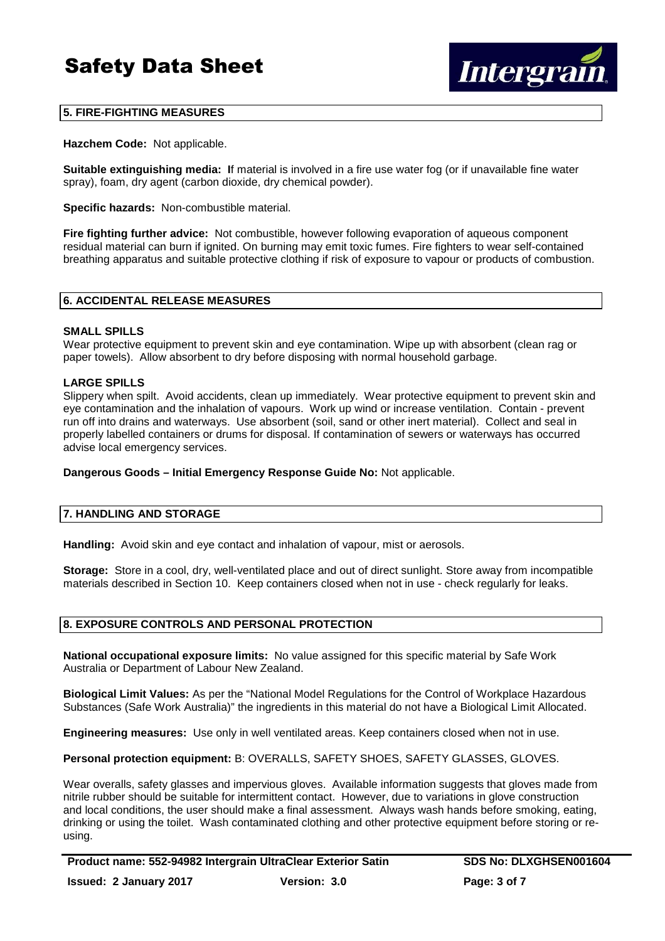

# **5. FIRE-FIGHTING MEASURES**

**Hazchem Code:** Not applicable.

**Suitable extinguishing media: I**f material is involved in a fire use water fog (or if unavailable fine water spray), foam, dry agent (carbon dioxide, dry chemical powder).

**Specific hazards:** Non-combustible material.

**Fire fighting further advice:** Not combustible, however following evaporation of aqueous component residual material can burn if ignited. On burning may emit toxic fumes. Fire fighters to wear self-contained breathing apparatus and suitable protective clothing if risk of exposure to vapour or products of combustion.

# **6. ACCIDENTAL RELEASE MEASURES**

#### **SMALL SPILLS**

Wear protective equipment to prevent skin and eye contamination. Wipe up with absorbent (clean rag or paper towels). Allow absorbent to dry before disposing with normal household garbage.

#### **LARGE SPILLS**

Slippery when spilt. Avoid accidents, clean up immediately. Wear protective equipment to prevent skin and eye contamination and the inhalation of vapours. Work up wind or increase ventilation. Contain - prevent run off into drains and waterways. Use absorbent (soil, sand or other inert material). Collect and seal in properly labelled containers or drums for disposal. If contamination of sewers or waterways has occurred advise local emergency services.

**Dangerous Goods – Initial Emergency Response Guide No:** Not applicable.

#### **7. HANDLING AND STORAGE**

**Handling:** Avoid skin and eye contact and inhalation of vapour, mist or aerosols.

**Storage:** Store in a cool, dry, well-ventilated place and out of direct sunlight. Store away from incompatible materials described in Section 10. Keep containers closed when not in use - check regularly for leaks.

#### **8. EXPOSURE CONTROLS AND PERSONAL PROTECTION**

**National occupational exposure limits:** No value assigned for this specific material by Safe Work Australia or Department of Labour New Zealand.

**Biological Limit Values:** As per the "National Model Regulations for the Control of Workplace Hazardous Substances (Safe Work Australia)" the ingredients in this material do not have a Biological Limit Allocated.

**Engineering measures:** Use only in well ventilated areas. Keep containers closed when not in use.

**Personal protection equipment:** B: OVERALLS, SAFETY SHOES, SAFETY GLASSES, GLOVES.

Wear overalls, safety glasses and impervious gloves. Available information suggests that gloves made from nitrile rubber should be suitable for intermittent contact. However, due to variations in glove construction and local conditions, the user should make a final assessment. Always wash hands before smoking, eating, drinking or using the toilet. Wash contaminated clothing and other protective equipment before storing or reusing.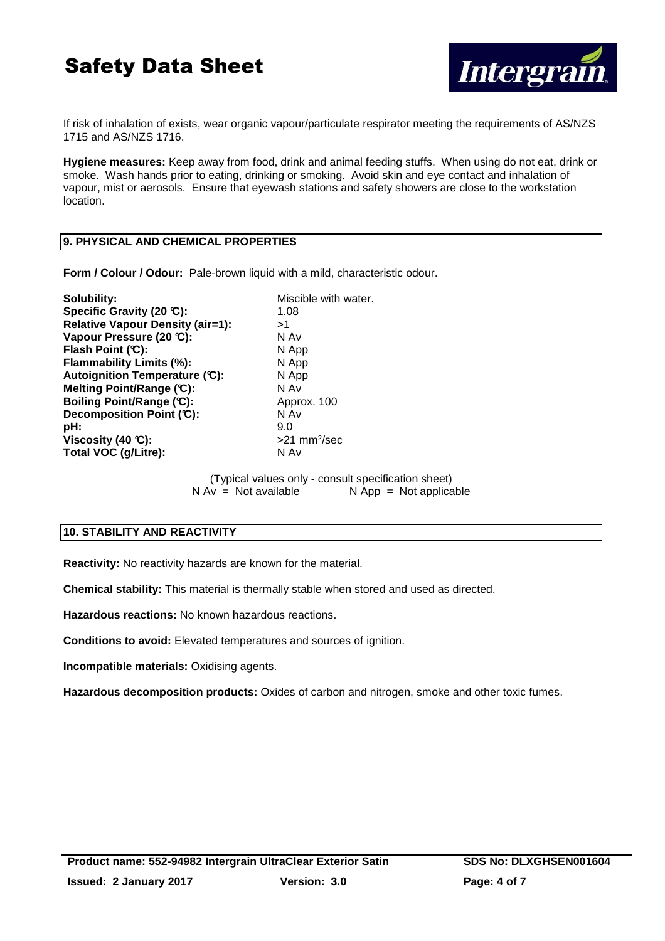

If risk of inhalation of exists, wear organic vapour/particulate respirator meeting the requirements of AS/NZS 1715 and AS/NZS 1716.

**Hygiene measures:** Keep away from food, drink and animal feeding stuffs. When using do not eat, drink or smoke. Wash hands prior to eating, drinking or smoking. Avoid skin and eye contact and inhalation of vapour, mist or aerosols. Ensure that eyewash stations and safety showers are close to the workstation location.

# **9. PHYSICAL AND CHEMICAL PROPERTIES**

**Form / Colour / Odour:** Pale-brown liquid with a mild, characteristic odour.

**Solubility:** Miscible with water. **Specific Gravity (20 °C):** 1.08 **Relative Vapour Density (air=1):**  $>1$ <br>Vapour Pressure (20 °C): N Av Vapour Pressure (20 °C): **Flash Point (°C):** N App **Flammability Limits (%):** N App **Autoignition Temperature (°C):** N App **Melting Point/Range (°C):** N Av **Boiling Point/Range (°C):** Approx. 100 **Decomposition Point (°C):** N Av **pH:** 9.0 **Viscosity (40 °C):**  $>21$  mm<sup>2</sup>/sec Total VOC (g/Litre): N Av

> (Typical values only - consult specification sheet)  $N Av = Not available$   $N App = Not applicable$

# **10. STABILITY AND REACTIVITY**

**Reactivity:** No reactivity hazards are known for the material.

**Chemical stability:** This material is thermally stable when stored and used as directed.

**Hazardous reactions:** No known hazardous reactions.

**Conditions to avoid:** Elevated temperatures and sources of ignition.

**Incompatible materials:** Oxidising agents.

**Hazardous decomposition products:** Oxides of carbon and nitrogen, smoke and other toxic fumes.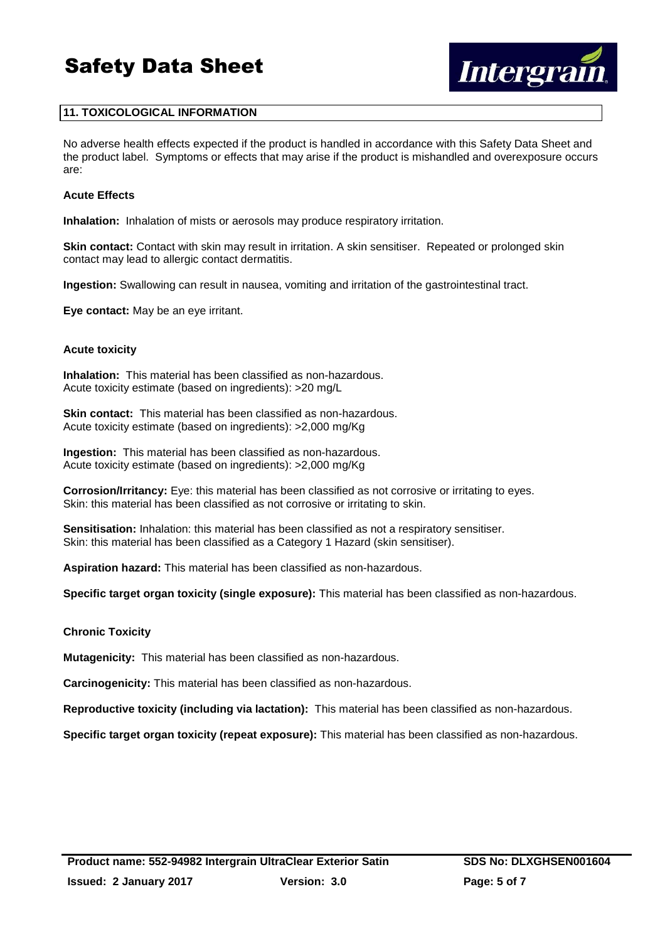

# **11. TOXICOLOGICAL INFORMATION**

No adverse health effects expected if the product is handled in accordance with this Safety Data Sheet and the product label. Symptoms or effects that may arise if the product is mishandled and overexposure occurs are:

#### **Acute Effects**

**Inhalation:** Inhalation of mists or aerosols may produce respiratory irritation.

**Skin contact:** Contact with skin may result in irritation. A skin sensitiser. Repeated or prolonged skin contact may lead to allergic contact dermatitis.

**Ingestion:** Swallowing can result in nausea, vomiting and irritation of the gastrointestinal tract.

**Eye contact:** May be an eye irritant.

#### **Acute toxicity**

**Inhalation:** This material has been classified as non-hazardous. Acute toxicity estimate (based on ingredients): >20 mg/L

**Skin contact:** This material has been classified as non-hazardous. Acute toxicity estimate (based on ingredients): >2,000 mg/Kg

**Ingestion:** This material has been classified as non-hazardous. Acute toxicity estimate (based on ingredients): >2,000 mg/Kg

**Corrosion/Irritancy:** Eye: this material has been classified as not corrosive or irritating to eyes. Skin: this material has been classified as not corrosive or irritating to skin.

**Sensitisation:** Inhalation: this material has been classified as not a respiratory sensitiser. Skin: this material has been classified as a Category 1 Hazard (skin sensitiser).

**Aspiration hazard:** This material has been classified as non-hazardous.

**Specific target organ toxicity (single exposure):** This material has been classified as non-hazardous.

# **Chronic Toxicity**

**Mutagenicity:** This material has been classified as non-hazardous.

**Carcinogenicity:** This material has been classified as non-hazardous.

**Reproductive toxicity (including via lactation):** This material has been classified as non-hazardous.

**Specific target organ toxicity (repeat exposure):** This material has been classified as non-hazardous.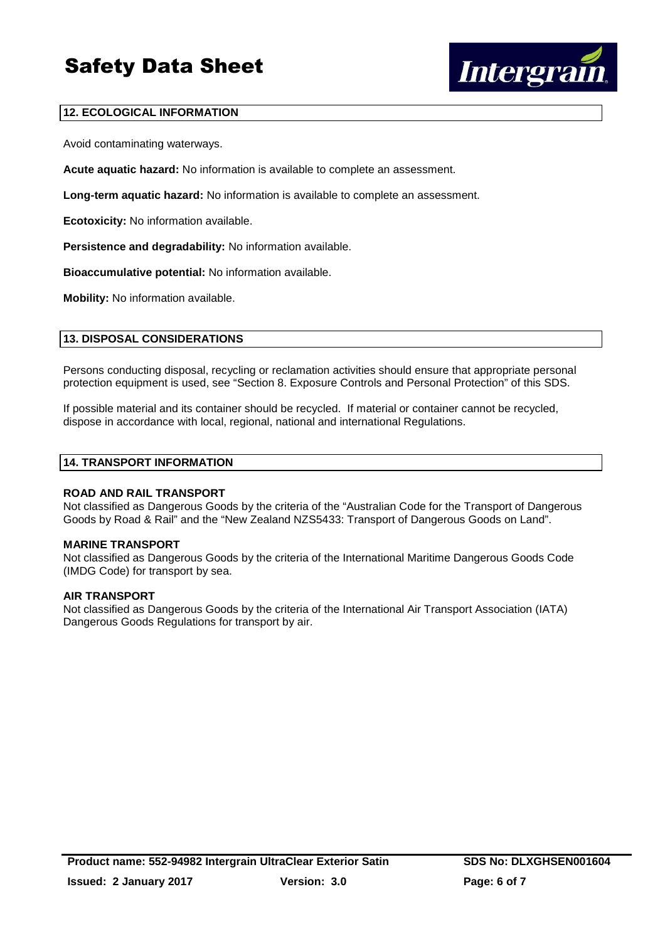

# **12. ECOLOGICAL INFORMATION**

Avoid contaminating waterways.

**Acute aquatic hazard:** No information is available to complete an assessment.

**Long-term aquatic hazard:** No information is available to complete an assessment.

**Ecotoxicity:** No information available.

**Persistence and degradability:** No information available.

**Bioaccumulative potential:** No information available.

**Mobility:** No information available.

# **13. DISPOSAL CONSIDERATIONS**

Persons conducting disposal, recycling or reclamation activities should ensure that appropriate personal protection equipment is used, see "Section 8. Exposure Controls and Personal Protection" of this SDS.

If possible material and its container should be recycled. If material or container cannot be recycled, dispose in accordance with local, regional, national and international Regulations.

#### **14. TRANSPORT INFORMATION**

#### **ROAD AND RAIL TRANSPORT**

Not classified as Dangerous Goods by the criteria of the "Australian Code for the Transport of Dangerous Goods by Road & Rail" and the "New Zealand NZS5433: Transport of Dangerous Goods on Land".

#### **MARINE TRANSPORT**

Not classified as Dangerous Goods by the criteria of the International Maritime Dangerous Goods Code (IMDG Code) for transport by sea.

#### **AIR TRANSPORT**

Not classified as Dangerous Goods by the criteria of the International Air Transport Association (IATA) Dangerous Goods Regulations for transport by air.